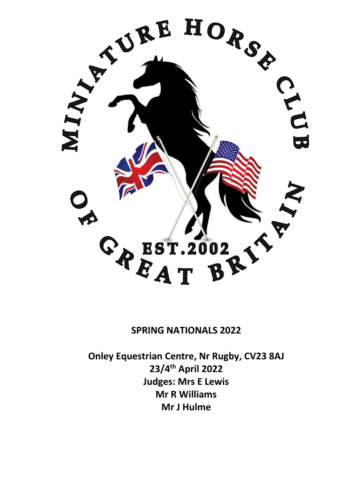

# **SPRING NATIONALS 2022**

**Onley Equestrian Centre, Nr Rugby, CV23 8AJ 23/4th April 2022 Judges: Mrs E Lewis Mr R Williams Mr J Hulme**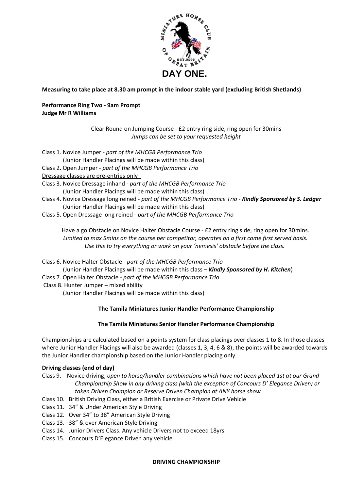

**Measuring to take place at 8.30 am prompt in the indoor stable yard (excluding British Shetlands)**

**Performance Ring Two - 9am Prompt Judge Mr R Williams**

> Clear Round on Jumping Course - £2 entry ring side, ring open for 30mins *Jumps can be set to your requested height*

- Class 1. Novice Jumper *- part of the MHCGB Performance Trio*
- (Junior Handler Placings will be made within this class)
- Class 2. Open Jumper *- part of the MHCGB Performance Trio*
- Dressage classes are pre-entries only
- Class 3. Novice Dressage inhand *part of the MHCGB Performance Trio* (Junior Handler Placings will be made within this class)
- Class 4. Novice Dressage long reined *part of the MHCGB Performance Trio Kindly Sponsored by S. Ledger* (Junior Handler Placings will be made within this class)
- Class 5. Open Dressage long reined *- part of the MHCGB Performance Trio*

Have a go Obstacle on Novice Halter Obstacle Course - £2 entry ring side, ring open for 30mins. *Limited to max 5mins on the course per competitor, operates on a first come first served basis. Use this to try everything or work on your 'nemesis' obstacle before the class.*

Class 6. Novice Halter Obstacle - *part of the MHCGB Performance Trio* (Junior Handler Placings will be made within this class – *Kindly Sponsored by H. Kitchen*)

- Class 7. Open Halter Obstacle *- part of the MHCGB Performance Trio*
- Class 8. Hunter Jumper mixed ability

(Junior Handler Placings will be made within this class)

## **The Tamila Miniatures Junior Handler Performance Championship**

## **The Tamila Miniatures Senior Handler Performance Championship**

Championships are calculated based on a points system for class placings over classes 1 to 8. In those classes where Junior Handler Placings will also be awarded (classes 1, 3, 4, 6 & 8), the points will be awarded towards the Junior Handler championship based on the Junior Handler placing only.

## **Driving classes (end of day)**

- Class 9. Novice driving, *open to horse/handler combinations which have not been placed 1st at our Grand Championship Show in any driving class (with the exception of Concours D' Elegance Driven) or taken Driven Champion or Reserve Driven Champion at ANY horse show*
- Class 10. British Driving Class, either a British Exercise or Private Drive Vehicle
- Class 11. 34" & Under American Style Driving
- Class 12. Over 34" to 38" American Style Driving
- Class 13. 38" & over American Style Driving
- Class 14. Junior Drivers Class. Any vehicle Drivers not to exceed 18yrs
- Class 15. Concours D'Elegance Driven any vehicle

#### **DRIVING CHAMPIONSHIP**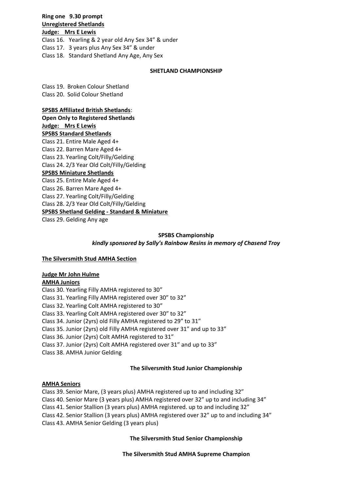**Ring one 9.30 prompt Unregistered Shetlands**

**Judge: Mrs E Lewis** Class 16. Yearling & 2 year old Any Sex 34" & under Class 17. 3 years plus Any Sex 34" & under Class 18. Standard Shetland Any Age, Any Sex

#### **SHETLAND CHAMPIONSHIP**

Class 19. Broken Colour Shetland Class 20. Solid Colour Shetland

#### **SPSBS Affiliated British Shetlands**:

**Open Only to Registered Shetlands Judge: Mrs E Lewis SPSBS Standard Shetlands**  Class 21. Entire Male Aged 4+ Class 22. Barren Mare Aged 4+ Class 23. Yearling Colt/Filly/Gelding Class 24. 2/3 Year Old Colt/Filly/Gelding **SPSBS Miniature Shetlands**  Class 25. Entire Male Aged 4+ Class 26. Barren Mare Aged 4+ Class 27. Yearling Colt/Filly/Gelding Class 28. 2/3 Year Old Colt/Filly/Gelding **SPSBS Shetland Gelding - Standard & Miniature**  Class 29. Gelding Any age

### **SPSBS Championship** *kindly sponsored by Sally's Rainbow Resins in memory of Chasend Troy*

#### **The Silversmith Stud AMHA Section**

## **Judge Mr John Hulme**

#### **AMHA Juniors**

Class 30. Yearling Filly AMHA registered to 30" Class 31. Yearling Filly AMHA registered over 30" to 32" Class 32. Yearling Colt AMHA registered to 30" Class 33. Yearling Colt AMHA registered over 30" to 32" Class 34. Junior (2yrs) old Filly AMHA registered to 29" to 31" Class 35. Junior (2yrs) old Filly AMHA registered over 31" and up to 33" Class 36. Junior (2yrs) Colt AMHA registered to 31" Class 37. Junior (2yrs) Colt AMHA registered over 31" and up to 33" Class 38. AMHA Junior Gelding

## **The Silversmith Stud Junior Championship**

#### **AMHA Seniors**

Class 39. Senior Mare, (3 years plus) AMHA registered up to and including 32" Class 40. Senior Mare (3 years plus) AMHA registered over 32" up to and including 34" Class 41. Senior Stallion (3 years plus) AMHA registered. up to and including 32" Class 42. Senior Stallion (3 years plus) AMHA registered over 32" up to and including 34" Class 43. AMHA Senior Gelding (3 years plus)

**The Silversmith Stud Senior Championship** 

**The Silversmith Stud AMHA Supreme Champion**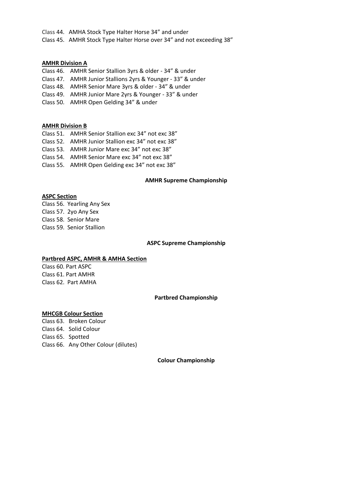Class 44. AMHA Stock Type Halter Horse 34" and under Class 45. AMHR Stock Type Halter Horse over 34" and not exceeding 38"

#### **AMHR Division A**

- Class 46. AMHR Senior Stallion 3yrs & older 34" & under
- Class 47. AMHR Junior Stallions 2yrs & Younger 33" & under
- Class 48. AMHR Senior Mare 3yrs & older 34" & under
- Class 49. AMHR Junior Mare 2yrs & Younger 33" & under
- Class 50. AMHR Open Gelding 34" & under

#### **AMHR Division B**

- Class 51. AMHR Senior Stallion exc 34" not exc 38"
- Class 52. AMHR Junior Stallion exc 34" not exc 38"
- Class 53. AMHR Junior Mare exc 34" not exc 38"
- Class 54. AMHR Senior Mare exc 34" not exc 38"
- Class 55. AMHR Open Gelding exc 34" not exc 38"

#### **AMHR Supreme Championship**

## **ASPC Section**

Class 56. Yearling Any Sex Class 57. 2yo Any Sex Class 58. Senior Mare Class 59. Senior Stallion

#### **ASPC Supreme Championship**

#### **Partbred ASPC, AMHR & AMHA Section**

Class 60. Part ASPC Class 61. Part AMHR Class 62. Part AMHA

#### **Partbred Championship**

#### **MHCGB Colour Section**

Class 63. Broken Colour Class 64. Solid Colour Class 65. Spotted Class 66. Any Other Colour (dilutes)

#### **Colour Championship**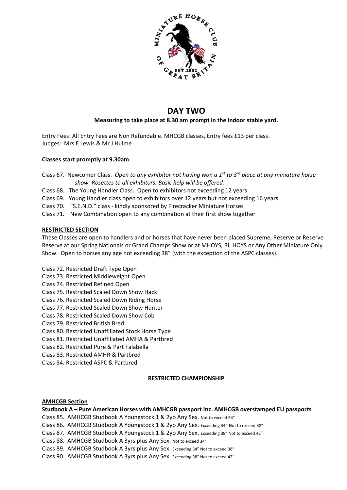

# **DAY TWO**

## **Measuring to take place at 8.30 am prompt in the indoor stable yard.**

Entry Fees: All Entry Fees are Non Refundable. MHCGB classes, Entry fees £13 per class. Judges: Mrs E Lewis & Mr J Hulme

## **Classes start promptly at 9.30am**

Class 67. Newcomer Class. *Open to any exhibitor not having won a 1st to 3rd place at any miniature horse show. Rosettes to all exhibitors. Basic help will be offered.*

- Class 68. The Young Handler Class. Open to exhibitors not exceeding 12 years
- Class 69. Young Handler class open to exhibitors over 12 years but not exceeding 16 years
- Class 70. "S.E.N.D." class kindly sponsored by Firecracker Miniature Horses
- Class 71. New Combination open to any combination at their first show together

#### **RESTRICTED SECTION**

These Classes are open to handlers and or horses that have never been placed Supreme, Reserve or Reserve Reserve at our Spring Nationals or Grand Champs Show or at MHOYS, RI, HOYS or Any Other Miniature Only Show. Open to horses any age not exceeding 38" (with the exception of the ASPC classes).

- Class 72. Restricted Draft Type Open
- Class 73. Restricted Middleweight Open
- Class 74. Restricted Refined Open
- Class 75. Restricted Scaled Down Show Hack
- Class 76. Restricted Scaled Down Riding Horse
- Class 77. Restricted Scaled Down Show Hunter
- Class 78. Restricted Scaled Down Show Cob
- Class 79. Restricted British Bred
- Class 80. Restricted Unaffiliated Stock Horse Type
- Class 81. Restricted Unaffiliated AMHA & Partbred
- Class 82. Restricted Pure & Part Falabella
- Class 83. Restricted AMHR & Partbred
- Class 84. Restricted ASPC & Partbred

#### **RESTRICTED CHAMPIONSHIP**

#### **AMHCGB Section**

**Studbook A – Pure American Horses with AMHCGB passport inc. AMHCGB overstamped EU passports**

Class 85. AMHCGB Studbook A Youngstock 1 & 2yo Any Sex. Not to exceed 34"

- Class 86. AMHCGB Studbook A Youngstock 1 & 2yo Any Sex. Exceeding 34" Not to exceed 38"
- Class 87. AMHCGB Studbook A Youngstock 1 & 2yo Any Sex. Exceeding 38" Not to exceed 42"
- Class 88. AMHCGB Studbook A 3yrs plus Any Sex. Not to exceed 34"

Class 89. AMHCGB Studbook A 3yrs plus Any Sex. Exceeding 34" Not to exceed 38"

Class 90. AMHCGB Studbook A 3yrs plus Any Sex. Exceeding 38" Not to exceed 42"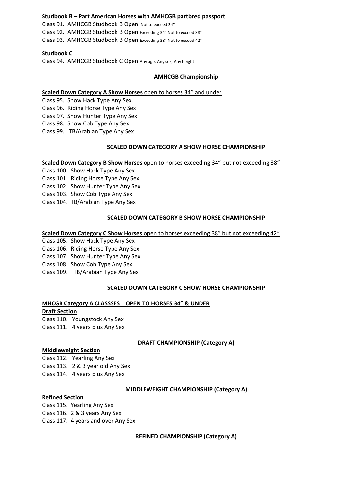#### **Studbook B – Part American Horses with AMHCGB partbred passport**

Class 91. AMHCGB Studbook B Open. Not to exceed 34" Class 92. AMHCGB Studbook B Open Exceeding 34" Not to exceed 38" Class 93. AMHCGB Studbook B Open Exceeding 38" Not to exceed 42"

#### **Studbook C**

Class 94. AMHCGB Studbook C Open Any age, Any sex, Any height

#### **AMHCGB Championship**

#### **Scaled Down Category A Show Horses** open to horses 34" and under

Class 95. Show Hack Type Any Sex. Class 96. Riding Horse Type Any Sex

Class 97. Show Hunter Type Any Sex

Class 98. Show Cob Type Any Sex

Class 99. TB/Arabian Type Any Sex

#### **SCALED DOWN CATEGORY A SHOW HORSE CHAMPIONSHIP**

#### **Scaled Down Category B Show Horses** open to horses exceeding 34" but not exceeding 38"

Class 100. Show Hack Type Any Sex

Class 101. Riding Horse Type Any Sex

Class 102. Show Hunter Type Any Sex

Class 103. Show Cob Type Any Sex

Class 104. TB/Arabian Type Any Sex

#### **SCALED DOWN CATEGORY B SHOW HORSE CHAMPIONSHIP**

#### **Scaled Down Category C Show Horses** open to horses exceeding 38" but not exceeding 42"

Class 105. Show Hack Type Any Sex Class 106. Riding Horse Type Any Sex Class 107. Show Hunter Type Any Sex Class 108. Show Cob Type Any Sex. Class 109. TB/Arabian Type Any Sex

#### **SCALED DOWN CATEGORY C SHOW HORSE CHAMPIONSHIP**

#### **MHCGB Category A CLASSSES OPEN TO HORSES 34" & UNDER**

**Draft Section** Class 110. Youngstock Any Sex Class 111. 4 years plus Any Sex

#### **DRAFT CHAMPIONSHIP (Category A)**

#### **Middleweight Section**

Class 112. Yearling Any Sex Class 113. 2 & 3 year old Any Sex Class 114. 4 years plus Any Sex

#### **MIDDLEWEIGHT CHAMPIONSHIP (Category A)**

## **Refined Section**

Class 115. Yearling Any Sex Class 116. 2 & 3 years Any Sex Class 117. 4 years and over Any Sex

**REFINED CHAMPIONSHIP (Category A)**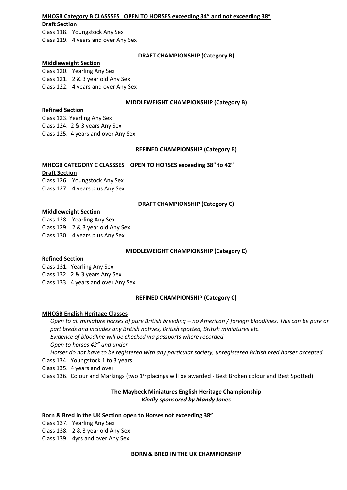## **MHCGB Category B CLASSSES OPEN TO HORSES exceeding 34" and not exceeding 38"**

## **Draft Section**

Class 118. Youngstock Any Sex Class 119. 4 years and over Any Sex

### **DRAFT CHAMPIONSHIP (Category B)**

### **Middleweight Section**

Class 120. Yearling Any Sex Class 121. 2 & 3 year old Any Sex Class 122. 4 years and over Any Sex

## **MIDDLEWEIGHT CHAMPIONSHIP (Category B)**

## **Refined Section**

Class 123. Yearling Any Sex Class 124. 2 & 3 years Any Sex Class 125. 4 years and over Any Sex

## **REFINED CHAMPIONSHIP (Category B)**

## **MHCGB CATEGORY C CLASSSES OPEN TO HORSES exceeding 38" to 42"**

## **Draft Section**

Class 126. Youngstock Any Sex Class 127. 4 years plus Any Sex

## **DRAFT CHAMPIONSHIP (Category C)**

## **Middleweight Section**

Class 128. Yearling Any Sex Class 129. 2 & 3 year old Any Sex Class 130. 4 years plus Any Sex

## **MIDDLEWEIGHT CHAMPIONSHIP (Category C)**

## **Refined Section**

Class 131. Yearling Any Sex Class 132. 2 & 3 years Any Sex Class 133. 4 years and over Any Sex

## **REFINED CHAMPIONSHIP (Category C)**

## **MHCGB English Heritage Classes**

*Open to all miniature horses of pure British breeding – no American / foreign bloodlines. This can be pure or part breds and includes any British natives, British spotted, British miniatures etc. Evidence of bloodline will be checked via passports where recorded*

*Open to horses 42" and under*

*Horses do not have to be registered with any particular society, unregistered British bred horses accepted.* Class 134. Youngstock 1 to 3 years

Class 135. 4 years and over

Class 136. Colour and Markings (two 1<sup>st</sup> placings will be awarded - Best Broken colour and Best Spotted)

## **The Maybeck Miniatures English Heritage Championship** *Kindly sponsored by Mandy Jones*

#### **Born & Bred in the UK Section open to Horses not exceeding 38"**

Class 137. Yearling Any Sex Class 138. 2 & 3 year old Any Sex Class 139. 4yrs and over Any Sex